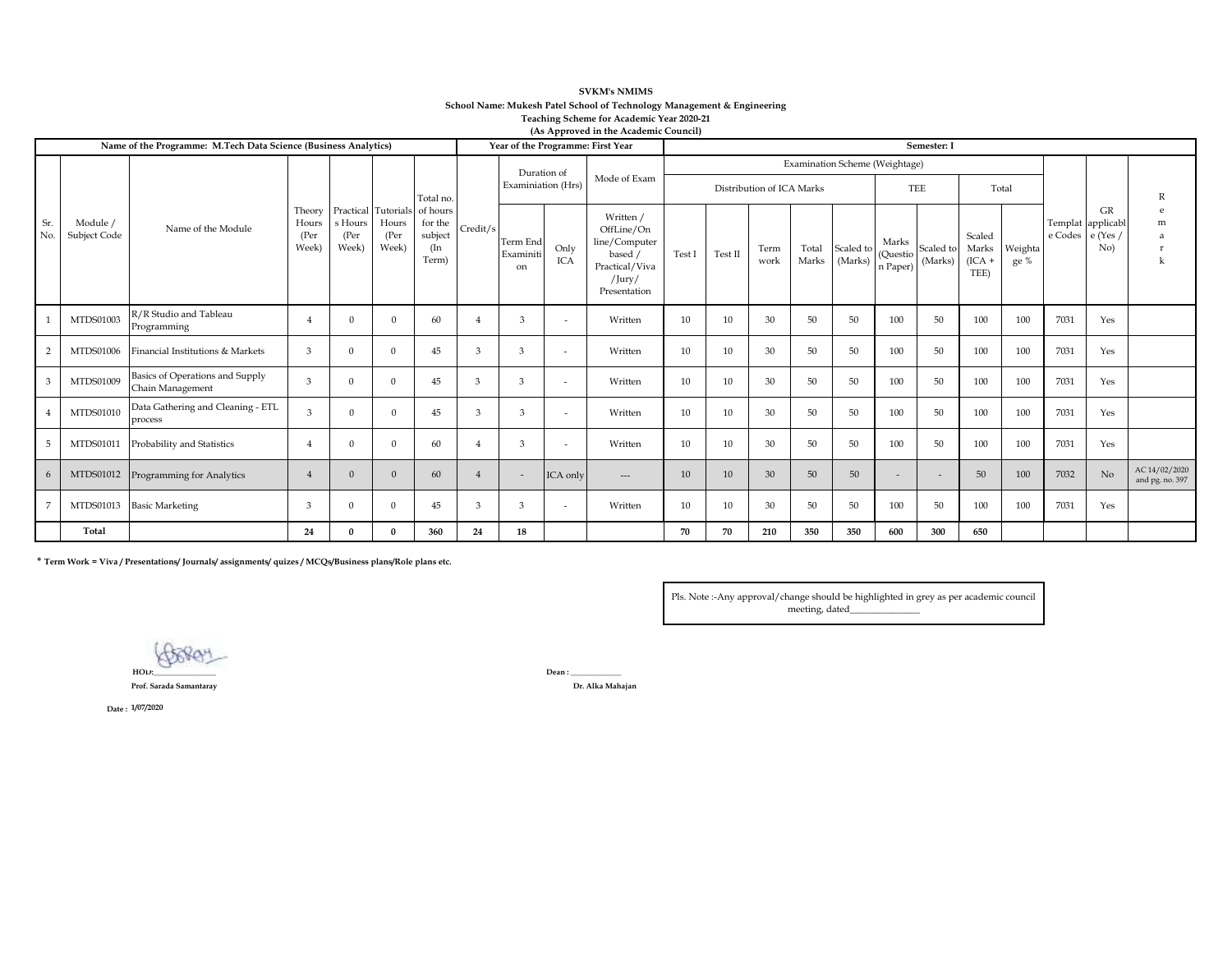| <b>SVKM's NMIMS</b>                                                     |
|-------------------------------------------------------------------------|
| School Name: Mukesh Patel School of Technology Management & Engineering |
| Teaching Scheme for Academic Year 2020-21                               |
| (As Approved in the Academic Council)                                   |

|                | Name of the Programme: M.Tech Data Science (Business Analytics) | $(2.5.2)$ $(2.6.2)$<br>Semester: I                  |                                  |                                           |                                                |                                                |                |                                   |                          |                                                                                                       |                                                             |         |              |                |                      |                                |                      |                                     |                 |      |                                                    |                                  |
|----------------|-----------------------------------------------------------------|-----------------------------------------------------|----------------------------------|-------------------------------------------|------------------------------------------------|------------------------------------------------|----------------|-----------------------------------|--------------------------|-------------------------------------------------------------------------------------------------------|-------------------------------------------------------------|---------|--------------|----------------|----------------------|--------------------------------|----------------------|-------------------------------------|-----------------|------|----------------------------------------------------|----------------------------------|
|                |                                                                 | Name of the Module                                  | Theory<br>Hours<br>(Per<br>Week) | $\operatorname{s}$ Hours<br>(Per<br>Week) |                                                | Total no.                                      |                | Duration of<br>Examiniation (Hrs) |                          | Mode of Exam                                                                                          | Examination Scheme (Weightage)<br>Distribution of ICA Marks |         |              |                |                      | TEE<br>Total                   |                      |                                     |                 |      |                                                    | R                                |
| Sr.<br>No.     | Module /<br>Subject Code                                        |                                                     |                                  |                                           | Practical Tutorials<br>Hours<br>(Per)<br>Week) | of hours<br>for the<br>subject<br>(In<br>Term) | Credit/s       | Term End<br>Examiniti<br>on       | Only<br><b>ICA</b>       | Written /<br>OffLine/On<br>line/Computer<br>based /<br>Practical/Viva<br>$/$ Jury $/$<br>Presentation | Test I                                                      | Test II | Term<br>work | Total<br>Marks | Scaled to<br>(Marks) | Marks<br>(Questio)<br>n Paper) | Scaled to<br>(Marks) | Scaled<br>Marks<br>$(ICA +$<br>TEE) | Weighta<br>ge % |      | GR<br>Templat applicabl<br>e Codes e (Yes /<br>No) | m                                |
|                | MTDS01003                                                       | R/R Studio and Tableau<br>Programming               |                                  | $\Omega$                                  |                                                | 60                                             |                | $\mathbf{a}$                      | $\overline{\phantom{a}}$ | Written                                                                                               | 10                                                          | 10      | 30           | 50             | 50                   | 100                            | 50                   | 100                                 | 100             | 7031 | Yes                                                |                                  |
| $\overline{2}$ | MTDS01006                                                       | Financial Institutions & Markets                    | 3                                | $\Omega$                                  | $\Omega$                                       | 45                                             | 3              | 3                                 | $\overline{\phantom{a}}$ | Written                                                                                               | 10                                                          | 10      | 30           | 50             | 50                   | 100                            | 50                   | 100                                 | 100             | 7031 | Yes                                                |                                  |
| 3              | MTDS01009                                                       | Basics of Operations and Supply<br>Chain Management | 3                                | $\Omega$                                  | $\Omega$                                       | 45                                             | 3              | 3                                 | $\overline{\phantom{a}}$ | Written                                                                                               | 10                                                          | 10      | 30           | 50             | 50                   | 100                            | 50                   | 100                                 | 100             | 7031 | Yes                                                |                                  |
| $\overline{4}$ | MTDS01010                                                       | Data Gathering and Cleaning - ETL<br>process        | $\mathcal{R}$                    | $\Omega$                                  | $\Omega$                                       | 45                                             | 3              | $\mathcal{R}$                     | $\sim$                   | Written                                                                                               | 10                                                          | 10      | 30           | 50             | 50                   | 100                            | 50                   | 100                                 | 100             | 7031 | Yes                                                |                                  |
| 5              | <b>MTDS0101</b>                                                 | Probability and Statistics                          |                                  | $\theta$                                  | $\Omega$                                       | 60                                             |                | 3                                 | $\sim$                   | Written                                                                                               | 10                                                          | 10      | 30           | 50             | 50                   | 100                            | 50                   | 100                                 | 100             | 7031 | Yes                                                |                                  |
| 6              | MTDS01012                                                       | Programming for Analytics                           |                                  | $\Omega$                                  | $\Omega$                                       | 60                                             | $\overline{4}$ | $\overline{\phantom{a}}$          | ICA only                 | $\hspace{1.5cm} \dots$                                                                                | 10                                                          | 10      | 30           | 50             | 50                   |                                | $\sim$               | 50                                  | 100             | 7032 | N <sub>o</sub>                                     | AC 14/02/2020<br>and pg. no. 397 |
| 7              | MTDS01013                                                       | <b>Basic Marketing</b>                              | $\mathbf{B}$                     | $\Omega$                                  | $\Omega$                                       | 45                                             | 3              |                                   | $\overline{\phantom{a}}$ | Written                                                                                               | 10                                                          | 10      | 30           | 50             | 50                   | 100                            | 50                   | 100                                 | 100             | 7031 | Yes                                                |                                  |
|                | Total                                                           |                                                     | 24                               | $\mathbf{0}$                              |                                                | 360                                            | 24             | 18                                |                          |                                                                                                       | 70                                                          | 70      | 210          | 350            | 350                  | 600                            | 300                  | 650                                 |                 |      |                                                    |                                  |

**\* Term Work = Viva / Presentations/ Journals/ assignments/ quizes / MCQs/Business plans/Role plans etc.**

Pls. Note :-Any approval/change should be highlighted in grey as per academic council meeting, dated\_\_\_\_\_\_\_\_\_\_\_\_\_\_\_

Boroy **HOD:\_\_\_\_\_\_\_\_\_\_\_\_\_\_\_\_ Dean : \_\_\_\_\_\_\_\_\_\_\_\_\_**

**Prof. Sarada Samantaray Dr. Alka Mahajan**

**Date : 1/07/2020**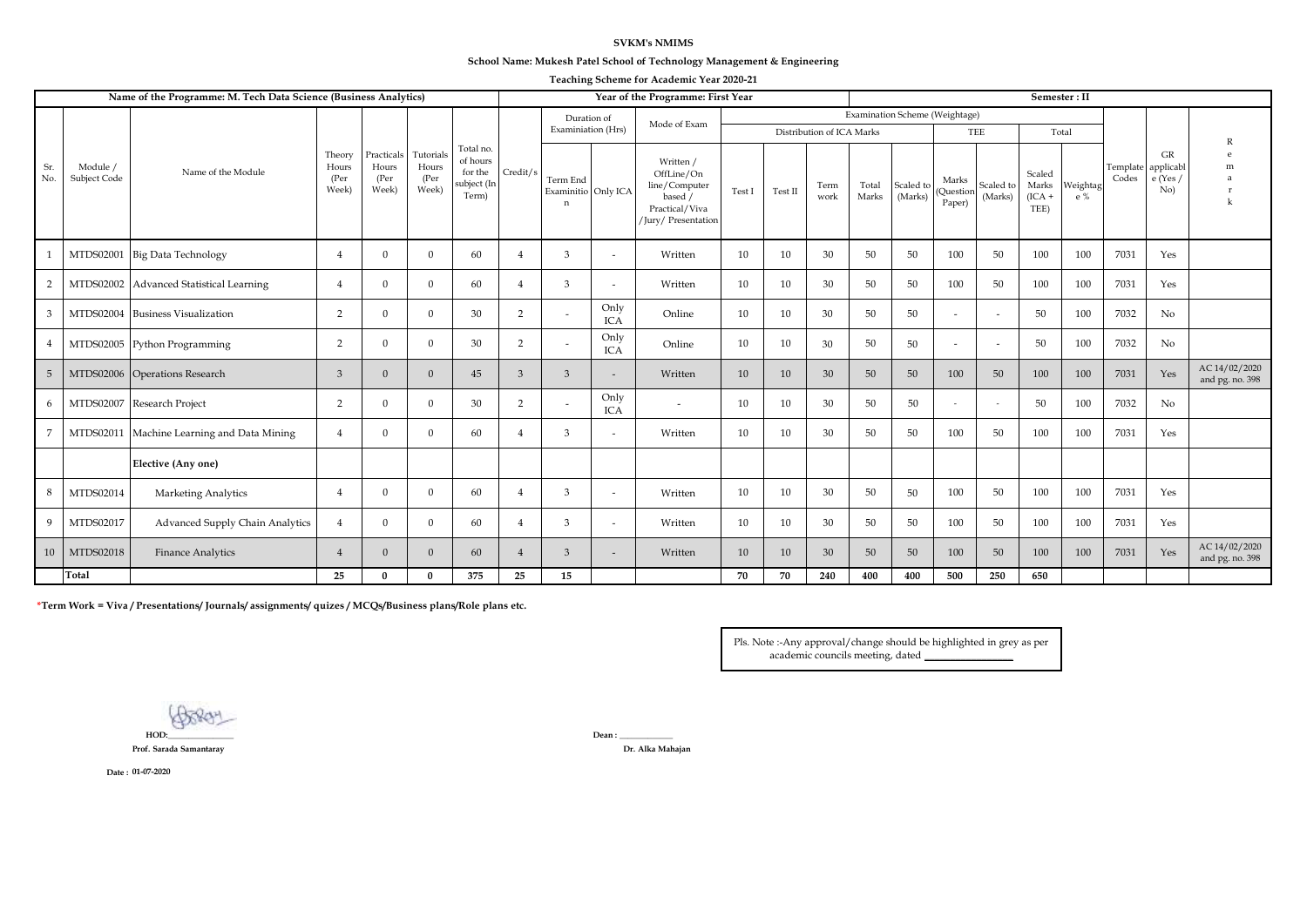## **SVKM's NMIMS**

## **School Name: Mukesh Patel School of Technology Management & Engineering**

| Teaching Scheme for Academic Year 2020-21 |  |  |  |  |  |
|-------------------------------------------|--|--|--|--|--|
|-------------------------------------------|--|--|--|--|--|

|                |                                 | Name of the Programme: M. Tech Data Science (Business Analytics) |                                   | Year of the Programme: First Year     |                                     |                                                          |                |                                                |                    |                                                                                              | Semester: II    |            |                           |                |                      |                                |                          |                                     |                 |                   |                                  |                                  |
|----------------|---------------------------------|------------------------------------------------------------------|-----------------------------------|---------------------------------------|-------------------------------------|----------------------------------------------------------|----------------|------------------------------------------------|--------------------|----------------------------------------------------------------------------------------------|-----------------|------------|---------------------------|----------------|----------------------|--------------------------------|--------------------------|-------------------------------------|-----------------|-------------------|----------------------------------|----------------------------------|
|                |                                 |                                                                  |                                   |                                       |                                     | Total no.<br>of hours<br>for the<br>subject (In<br>Term) |                | Duration of                                    |                    |                                                                                              |                 |            |                           |                |                      | Examination Scheme (Weightage) |                          |                                     |                 |                   |                                  |                                  |
|                |                                 | Name of the Module                                               |                                   |                                       |                                     |                                                          |                | Examiniation (Hrs)                             |                    | Mode of Exam                                                                                 |                 |            | Distribution of ICA Marks |                |                      |                                | TEE                      |                                     | Total           |                   |                                  |                                  |
| Sr.<br>No.     | Module /<br><b>Subject Code</b> |                                                                  | Theory<br>Hours<br>(Per)<br>Week) | Practicals<br>Hours<br>(Per)<br>Week) | Tutorials<br>Hours<br>(Per<br>Week) |                                                          | Credit/s       | Term End<br>Examinitio Only ICA<br>$\mathbf n$ |                    | Written /<br>OffLine/On<br>line/Computer<br>based /<br>Practical/Viva<br>/Jury/ Presentation | Test I          | Test $\Pi$ | Term<br>work              | Total<br>Marks | Scaled to<br>(Marks) | Marks<br>(Question<br>Paper)   | Scaled to<br>(Marks)     | Scaled<br>Marks<br>$(ICA +$<br>TEE) | Weightag<br>e % | Template<br>Codes | GR<br>applicabl<br>e(Yes/<br>No) | m                                |
|                | MTDS02001                       | <b>Big Data Technology</b>                                       | $\overline{4}$                    | $\mathbf{0}$                          | $\Omega$                            | 60                                                       |                | 3                                              | $\sim$             | Written                                                                                      | 10              | 10         | 30                        | 50             | 50                   | 100                            | 50                       | 100                                 | 100             | 7031              | Yes                              |                                  |
| $\overline{2}$ |                                 | MTDS02002 Advanced Statistical Learning                          | $\overline{4}$                    | $\mathbf{0}$                          | $\mathbf{0}$                        | 60                                                       |                | 3                                              | $\sim$             | Written                                                                                      | 10 <sup>1</sup> | 10         | 30                        | 50             | 50                   | 100                            | 50                       | 100                                 | 100             | 7031              | Yes                              |                                  |
| 3              | MTDS02004                       | <b>Business Visualization</b>                                    | $\overline{2}$                    | $\Omega$                              | $\Omega$                            | 30                                                       | $\overline{2}$ | $\sim$                                         | Only<br><b>ICA</b> | Online                                                                                       | 10              | 10         | 30                        | 50             | 50                   |                                | $\overline{\phantom{a}}$ | 50                                  | 100             | 7032              | No                               |                                  |
| $\overline{4}$ |                                 | MTDS02005 Python Programming                                     | 2                                 | $\Omega$                              | $\Omega$                            | 30                                                       | 2              | $\overline{\phantom{a}}$                       | Only<br><b>ICA</b> | Online                                                                                       | 10              | 10         | 30                        | 50             | 50                   |                                | $\sim$                   | 50                                  | 100             | 7032              | No                               |                                  |
| 5              |                                 | MTDS02006 Operations Research                                    | 3                                 | $\mathbf{0}$                          | $\Omega$                            | 45                                                       | 3              | 3                                              |                    | Written                                                                                      | 10              | 10         | 30                        | 50             | 50                   | 100                            | 50                       | 100                                 | 100             | 7031              | Yes                              | AC 14/02/2020<br>and pg. no. 398 |
| 6              | MTDS02007                       | Research Project                                                 | $\overline{2}$                    | $\mathbf{0}$                          | $\mathbf{0}$                        | 30                                                       | 2              | $\sim$                                         | Only<br><b>ICA</b> | $\overline{\phantom{a}}$                                                                     | 10              | 10         | 30                        | 50             | 50                   |                                | $\sim$                   | 50                                  | 100             | 7032              | No                               |                                  |
| $\overline{7}$ | MTDS02011                       | Machine Learning and Data Mining                                 | $\overline{4}$                    | $\Omega$                              | $\Omega$                            | 60                                                       |                | 3                                              |                    | Written                                                                                      | 10              | 10         | 30                        | 50             | 50                   | 100                            | 50                       | 100                                 | 100             | 7031              | Yes                              |                                  |
|                |                                 | Elective (Any one)                                               |                                   |                                       |                                     |                                                          |                |                                                |                    |                                                                                              |                 |            |                           |                |                      |                                |                          |                                     |                 |                   |                                  |                                  |
| 8              | MTDS02014                       | <b>Marketing Analytics</b>                                       | $\overline{4}$                    | $\mathbf{0}$                          | $\Omega$                            | 60                                                       |                | 3                                              | $\sim$             | Written                                                                                      | 10              | 10         | 30                        | 50             | 50                   | 100                            | 50                       | 100                                 | 100             | 7031              | Yes                              |                                  |
| 9              | MTDS02017                       | Advanced Supply Chain Analytics                                  | $\overline{4}$                    | $\overline{0}$                        | $\mathbf{0}$                        | 60                                                       |                | 3                                              | $\sim$             | Written                                                                                      | 10 <sup>1</sup> | 10         | 30                        | 50             | 50                   | 100                            | 50                       | 100                                 | 100             | 7031              | Yes                              |                                  |
| 10             | MTDS02018                       | Finance Analytics                                                | $\overline{4}$                    | $\mathbf{0}$                          | $\Omega$                            | 60                                                       | $\overline{4}$ | 3                                              | $\sim$             | Written                                                                                      | 10              | 10         | 30                        | 50             | 50                   | 100                            | 50                       | 100                                 | 100             | 7031              | Yes                              | AC 14/02/2020<br>and pg. no. 398 |
|                | Total                           |                                                                  | 25                                | $\Omega$                              | $\Omega$                            | 375                                                      | 25             | 15                                             |                    |                                                                                              | 70              | 70         | 240                       | 400            | 400                  | 500                            | 250                      | 650                                 |                 |                   |                                  |                                  |

**\*Term Work = Viva / Presentations/ Journals/ assignments/ quizes / MCQs/Business plans/Role plans etc.**

Pls. Note :-Any approval/change should be highlighted in grey as per  $\alpha$ cademic councils meeting, dated

**HOD:\_\_\_\_\_\_\_\_\_\_\_\_\_\_\_\_ Dean : \_\_\_\_\_\_\_\_\_\_\_\_\_**

**Prof. Sarada Samantaray Dr. Alka Mahajan**

**Date : 01-07-2020**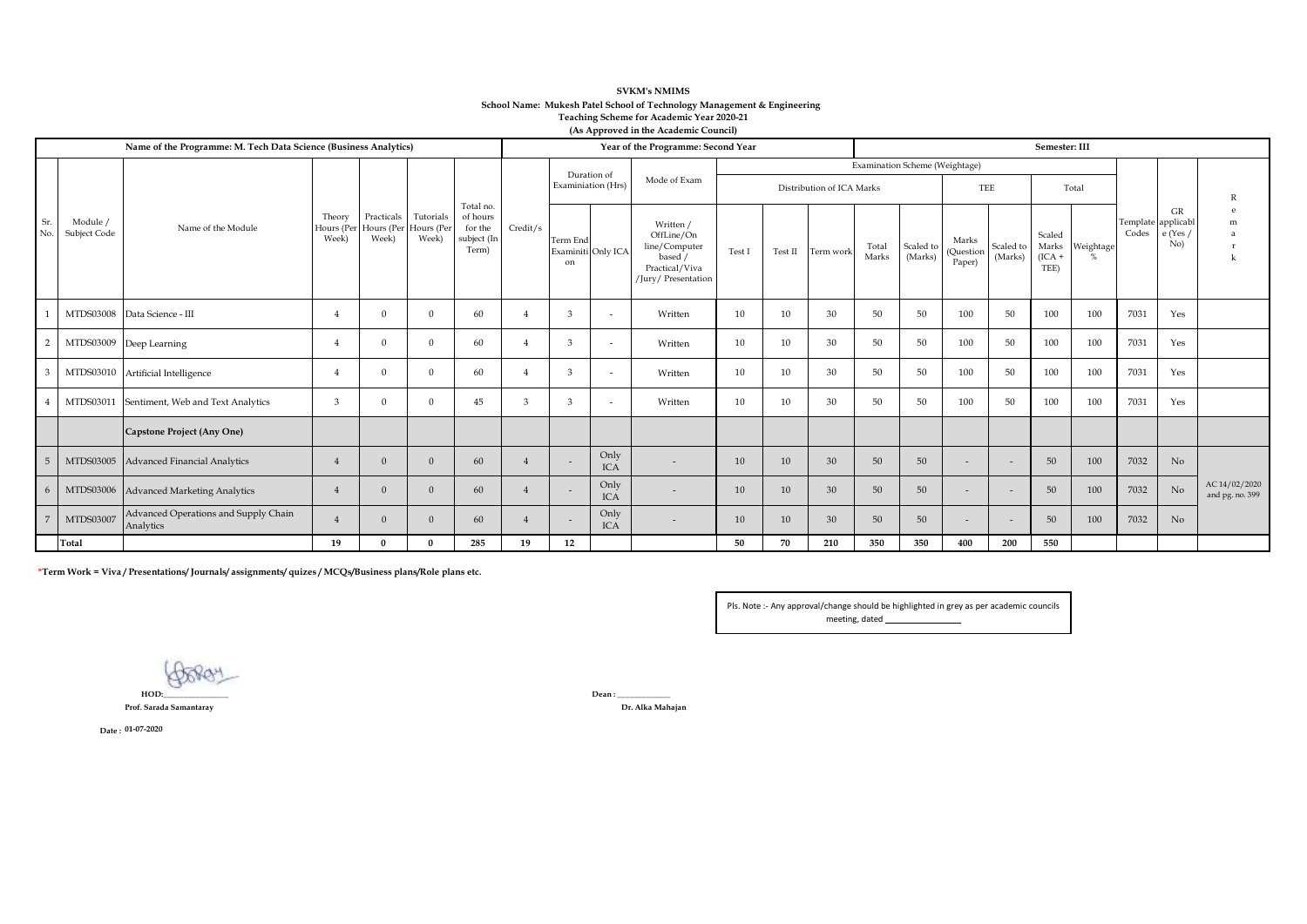## **SVKM's NMIMS School Name: Mukesh Patel School of Technology Management & Engineering Teaching Scheme for Academic Year 2020-21 (As Approved in the Academic Council)**

|                |                          | Name of the Programme: M. Tech Data Science (Business Analytics) | Year of the Programme: Second Year |                                                         |                    |                                                          |               |                                   |                          |                                                                                              | Semester: III |                                            |                           |                                |                      |                              |                      |                                     |           |                             |                     |                                  |
|----------------|--------------------------|------------------------------------------------------------------|------------------------------------|---------------------------------------------------------|--------------------|----------------------------------------------------------|---------------|-----------------------------------|--------------------------|----------------------------------------------------------------------------------------------|---------------|--------------------------------------------|---------------------------|--------------------------------|----------------------|------------------------------|----------------------|-------------------------------------|-----------|-----------------------------|---------------------|----------------------------------|
|                |                          | Name of the Module                                               | Theory<br>Week)                    |                                                         |                    |                                                          |               | Duration of<br>Examiniation (Hrs) |                          | Mode of Exam                                                                                 |               |                                            | Distribution of ICA Marks | Examination Scheme (Weightage) |                      | TEE                          |                      |                                     | Total     |                             |                     |                                  |
| Sr.<br>No.     | Module /<br>Subject Code |                                                                  |                                    | Practicals<br>Hours (Per Hours (Per Hours (Per<br>Week) | Tutorials<br>Week) | Total no.<br>of hours<br>for the<br>subject (In<br>Term) | Credit/s      | Term End<br>on                    | Examiniti Only ICA       | Written /<br>OffLine/On<br>line/Computer<br>based /<br>Practical/Viva<br>/Jury/ Presentation | Test          | $\operatorname{\mathsf{Test}}\nolimits\Pi$ | Term work                 | Total<br>Marks                 | Scaled to<br>(Marks) | Marks<br>(Question<br>Paper) | Scaled to<br>(Marks) | Scaled<br>Marks<br>$(ICA +$<br>TEE) | Weightage | Template applicabl<br>Codes | GR<br>e(Yes)<br>No) | m                                |
|                |                          | MTDS03008 Data Science - III                                     | $\overline{4}$                     | $\Omega$                                                | $\Omega$           | 60                                                       |               | 3                                 | $\overline{\phantom{a}}$ | Written                                                                                      | 10            | 10                                         | 30                        | 50                             | 50                   | 100                          | 50                   | 100                                 | 100       | 7031                        | Yes                 |                                  |
| $\overline{2}$ |                          | MTDS03009 Deep Learning                                          | $\overline{4}$                     | $\Omega$                                                | $\Omega$           | 60                                                       |               | 3                                 | $\overline{\phantom{a}}$ | Written                                                                                      | 10            | 10                                         | 30                        | 50                             | 50                   | 100                          | 50                   | 100                                 | 100       | 7031                        | Yes                 |                                  |
| 3              |                          | MTDS03010 Artificial Intelligence                                | $\overline{4}$                     | $\Omega$                                                | $\Omega$           | 60                                                       |               | 3                                 | $\overline{\phantom{a}}$ | Written                                                                                      | 10            | 10                                         | 30                        | 50                             | 50                   | 100                          | 50<br>100<br>100     |                                     |           | 7031                        | Yes                 |                                  |
|                | MTDS03011                | Sentiment, Web and Text Analytics                                | 3                                  | $\Omega$                                                | $\Omega$           | 45                                                       | $\mathcal{R}$ | 3                                 |                          | Written                                                                                      | 10            | 10                                         | 30                        | 50                             | 50                   | 100                          | 50                   | 100                                 | 100       | 7031                        | Yes                 |                                  |
|                |                          | Capstone Project (Any One)                                       |                                    |                                                         |                    |                                                          |               |                                   |                          |                                                                                              |               |                                            |                           |                                |                      |                              |                      |                                     |           |                             |                     |                                  |
| 5              |                          | MTDS03005 Advanced Financial Analytics                           | $\overline{4}$                     | $\Omega$                                                |                    | 60                                                       |               | $\sim$                            | Only<br><b>ICA</b>       | $\sim$                                                                                       | 10            | 10                                         | 30                        | 50                             | 50                   | $\sim$                       |                      | 50                                  | 100       | 7032                        | No                  |                                  |
| 6              |                          | MTDS03006 Advanced Marketing Analytics                           | $\overline{4}$                     | $\Omega$                                                | $\Omega$           | 60                                                       |               | $\overline{\phantom{a}}$          | Only<br><b>ICA</b>       |                                                                                              | 10            | 10                                         | 30                        | 50                             | 50                   | $\overline{\phantom{a}}$     |                      | 50                                  | 100       | 7032                        | No                  | AC 14/02/2020<br>and pg. no. 399 |
| 7              | MTDS03007                | Advanced Operations and Supply Chain<br>Analytics                | $\overline{4}$                     | $\Omega$                                                |                    | 60                                                       |               | Only<br>$\sim$<br><b>ICA</b>      |                          |                                                                                              | 10            | 10                                         | 30                        | 50                             | 50                   | $\overline{\phantom{0}}$     |                      | 50                                  | 100       | 7032                        | No                  |                                  |
|                | Total                    |                                                                  | 19                                 |                                                         |                    | 285                                                      | 19            | 12                                |                          |                                                                                              | 50            | 70                                         | 210                       | 350                            | 350                  | 400                          | 200                  | 550                                 |           |                             |                     |                                  |

**\*Term Work = Viva / Presentations/ Journals/ assignments/ quizes / MCQs/Business plans/Role plans etc.**

Pls. Note :- Any approval/change should be highlighted in grey as per academic councils meeting, dated

**Goove HOD:\_\_\_\_\_\_\_\_\_\_\_\_\_\_\_\_**

**Prof. Sarada Samantaray Dr. Alka Mahajan**

**Dean : \_\_\_\_\_\_\_\_\_\_\_\_\_**

**Date : 01-07-2020**